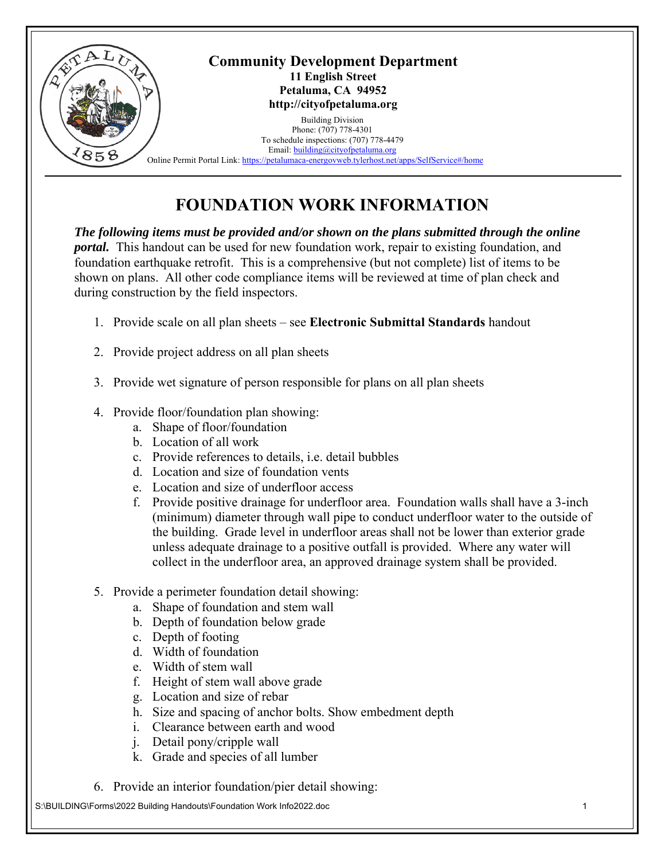

## **FOUNDATION WORK INFORMATION**

*The following items must be provided and/or shown on the plans submitted through the online portal.* This handout can be used for new foundation work, repair to existing foundation, and foundation earthquake retrofit. This is a comprehensive (but not complete) list of items to be shown on plans. All other code compliance items will be reviewed at time of plan check and during construction by the field inspectors.

- 1. Provide scale on all plan sheets see **Electronic Submittal Standards** handout
- 2. Provide project address on all plan sheets
- 3. Provide wet signature of person responsible for plans on all plan sheets
- 4. Provide floor/foundation plan showing:
	- a. Shape of floor/foundation
	- b. Location of all work
	- c. Provide references to details, i.e. detail bubbles
	- d. Location and size of foundation vents
	- e. Location and size of underfloor access
	- f. Provide positive drainage for underfloor area. Foundation walls shall have a 3-inch (minimum) diameter through wall pipe to conduct underfloor water to the outside of the building. Grade level in underfloor areas shall not be lower than exterior grade unless adequate drainage to a positive outfall is provided. Where any water will collect in the underfloor area, an approved drainage system shall be provided.
- 5. Provide a perimeter foundation detail showing:
	- a. Shape of foundation and stem wall
	- b. Depth of foundation below grade
	- c. Depth of footing
	- d. Width of foundation
	- e. Width of stem wall
	- f. Height of stem wall above grade
	- g. Location and size of rebar
	- h. Size and spacing of anchor bolts. Show embedment depth
	- i. Clearance between earth and wood
	- j. Detail pony/cripple wall
	- k. Grade and species of all lumber
- 6. Provide an interior foundation/pier detail showing:

S:\BUILDING\Forms\2022 Building Handouts\Foundation Work Info2022.doc 1